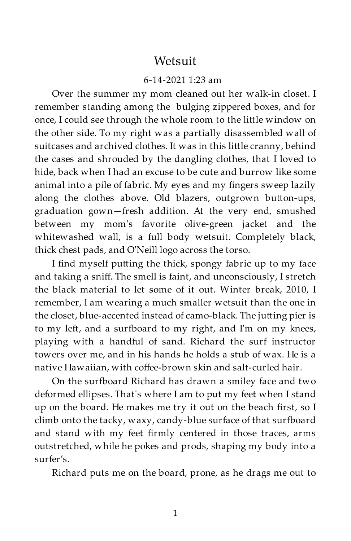## **Wetsuit**

## 6-14-2021 1:23 am

Over the summer my mom cleaned out her walk-in closet. I remember standing among the bulging zippered boxes, and for once, I could see through the whole room to the little window on the other side. To my right was a partially disassembled wall of suitcases and archived clothes. It was in this little cranny, behind the cases and shrouded by the dangling clothes, that I loved to hide, back when I had an excuse to be cute and burrow like some animal into a pile of fabric. My eyes and my fingers sweep lazily along the clothes above. Old blazers, outgrown button-ups, graduation gown—fresh addition. At the very end, smushed between my mom's favorite olive-green jacket and the whitewashed wall, is a full body wetsuit. Completely black, thick chest pads, and O'Neill logo across the torso.

I find myself putting the thick, spongy fabric up to my face and taking a sniff. The smell is faint, and unconsciously, I stretch the black material to let some of it out. Winter break, 2010, I remember, I am wearing a much smaller wetsuit than the one in the closet, blue-accented instead of camo-black. The jutting pier is to my left, and a surfboard to my right, and I'm on my knees, playing with a handful of sand. Richard the surf instructor towers over me, and in his hands he holds a stub of wax. He is a native Hawaiian, with coffee-brown skin and salt-curled hair.

On the surfboard Richard has drawn a smiley face and two deformed ellipses. That's where I am to put my feet when I stand up on the board. He makes me try it out on the beach first, so I climb onto the tacky, waxy, candy-blue surface of that surfboard and stand with my feet firmly centered in those traces, arms outstretched, while he pokes and prods, shaping my body into a surfer's.

Richard puts me on the board, prone, as he drags me out to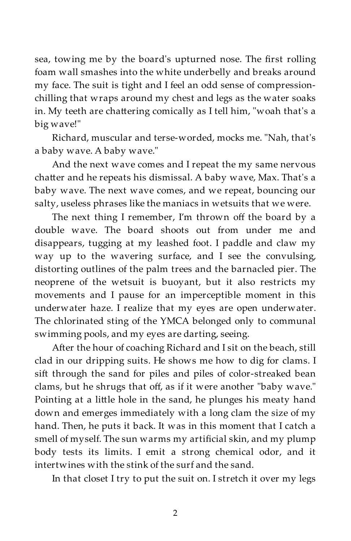sea, towing me by the board's upturned nose. The first rolling foam wall smashes into the white underbelly and breaks around my face. The suit is tight and I feel an odd sense of compressionchilling that wraps around my chest and legs as the water soaks in. My teeth are chattering comically as I tell him, "woah that's a big wave!"

Richard, muscular and terse-worded, mocks me. "Nah, that's a baby wave. A baby wave."

And the next wave comes and I repeat the my same nervous chatter and he repeats his dismissal. A baby wave, Max. That's a baby wave. The next wave comes, and we repeat, bouncing our salty, useless phrases like the maniacs in wetsuits that we were.

The next thing I remember, I'm thrown off the board by a double wave. The board shoots out from under me and disappears, tugging at my leashed foot. I paddle and claw my way up to the wavering surface, and I see the convulsing, distorting outlines of the palm trees and the barnacled pier. The neoprene of the wetsuit is buoyant, but it also restricts my movements and I pause for an imperceptible moment in this underwater haze. I realize that my eyes are open underwater. The chlorinated sting of the YMCA belonged only to communal swimming pools, and my eyes are darting, seeing.

After the hour of coaching Richard and I sit on the beach, still clad in our dripping suits. He shows me how to dig for clams. I sift through the sand for piles and piles of color-streaked bean clams, but he shrugs that off, as if it were another "baby wave." Pointing at a little hole in the sand, he plunges his meaty hand down and emerges immediately with a long clam the size of my hand. Then, he puts it back. It was in this moment that I catch a smell of myself. The sun warms my artificial skin, and my plump body tests its limits. I emit a strong chemical odor, and it intertwines with the stink of the surf and the sand.

In that closet I try to put the suit on. I stretch it over my legs